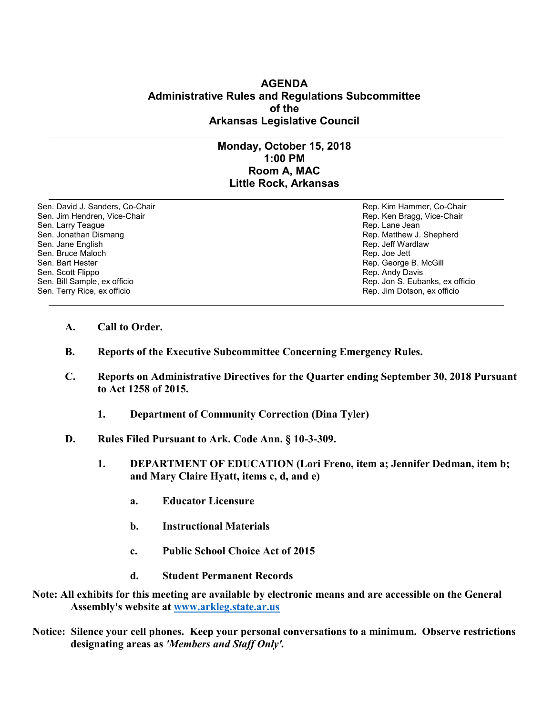## **AGENDA Administrative Rules and Regulations Subcommittee of the Arkansas Legislative Council**

## **Monday, October 15, 2018 1:00 PM Room A, MAC Little Rock, Arkansas**

Sen. David J. Sanders, Co-Chair **Rep. Accompanying the Community Community** Rep. Kim Hammer, Co-Chair Sen. Jim Hendren, Vice-Chair Rep. Ken Bragg, Vice-Chair Rep. Ken Bragg, Vice-Chair Sen. Larry Teague Rep. Lane Jean Controller and Sen. Lane Jean Controller and Sen. Lane Jean Controller and Se<br>Sen. Jonathan Dismang Rep. Matthew J. Sen. Jonathan Dismang and the sense of the sense of the sense of the Sen. Jonathan Dismang Rep. Matthew J. Shepherd<br>Sen. Jane English Sen. Jane English Sen. Bruce Maloch<br>Sen. Bart Hester Sen. Scott Flippo **Rep. Andy Davis** Rep. Andy Davis Sen. Bill Sample, ex officio **Rep. Jon S. Eubanks, ex officio** Rep. Jon S. Eubanks, ex officio Sen. Terry Rice, ex officio Rep. Jim Dotson, ex officio

Rep. Jeff Wardlaw<br>Rep. Joe Jett Rep. George B. McGill

- **A. Call to Order.**
- **B. Reports of the Executive Subcommittee Concerning Emergency Rules.**
- **C. Reports on Administrative Directives for the Quarter ending September 30, 2018 Pursuant to Act 1258 of 2015.** 
	- **1. Department of Community Correction (Dina Tyler)**
- **D. Rules Filed Pursuant to Ark. Code Ann. § 10-3-309.**
	- **1. DEPARTMENT OF EDUCATION (Lori Freno, item a; Jennifer Dedman, item b; and Mary Claire Hyatt, items c, d, and e)**
		- **a. Educator Licensure**
		- **b. Instructional Materials**
		- **c. Public School Choice Act of 2015**
		- **d. Student Permanent Records**
- **Note: All exhibits for this meeting are available by electronic means and are accessible on the General Assembly's website at [www.arkleg.state.ar.us](http://www.arkleg.state.ar.us)**
- **Notice: Silence your cell phones. Keep your personal conversations to a minimum. Observe restrictions designating areas as** *'Members and Staff Only'.*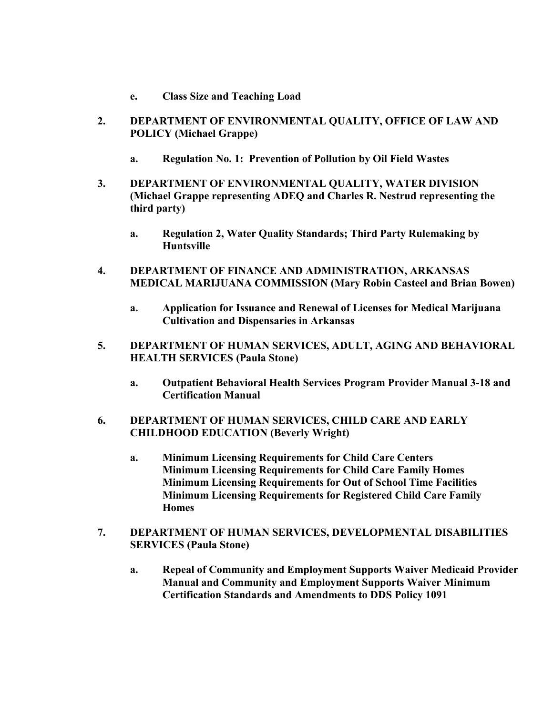- **e. Class Size and Teaching Load**
- **2. DEPARTMENT OF ENVIRONMENTAL QUALITY, OFFICE OF LAW AND POLICY (Michael Grappe)**
	- **a. Regulation No. 1: Prevention of Pollution by Oil Field Wastes**
- **3. DEPARTMENT OF ENVIRONMENTAL QUALITY, WATER DIVISION (Michael Grappe representing ADEQ and Charles R. Nestrud representing the third party)**
	- **a. Regulation 2, Water Quality Standards; Third Party Rulemaking by Huntsville**
- **4. DEPARTMENT OF FINANCE AND ADMINISTRATION, ARKANSAS MEDICAL MARIJUANA COMMISSION (Mary Robin Casteel and Brian Bowen)**
	- **a. Application for Issuance and Renewal of Licenses for Medical Marijuana Cultivation and Dispensaries in Arkansas**
- **5. DEPARTMENT OF HUMAN SERVICES, ADULT, AGING AND BEHAVIORAL HEALTH SERVICES (Paula Stone)**
	- **a. Outpatient Behavioral Health Services Program Provider Manual 3-18 and Certification Manual**
- **6. DEPARTMENT OF HUMAN SERVICES, CHILD CARE AND EARLY CHILDHOOD EDUCATION (Beverly Wright)**
	- **a. Minimum Licensing Requirements for Child Care Centers Minimum Licensing Requirements for Child Care Family Homes Minimum Licensing Requirements for Out of School Time Facilities Minimum Licensing Requirements for Registered Child Care Family Homes**
- **7. DEPARTMENT OF HUMAN SERVICES, DEVELOPMENTAL DISABILITIES SERVICES (Paula Stone)**
	- **a. Repeal of Community and Employment Supports Waiver Medicaid Provider Manual and Community and Employment Supports Waiver Minimum Certification Standards and Amendments to DDS Policy 1091**